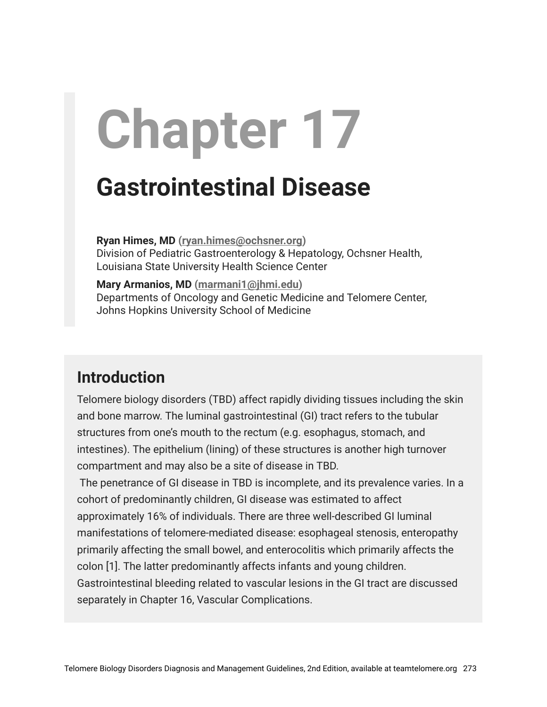# **Chapter 17**

# **Gastrointestinal Disease**

**Ryan Himes, MD ([ryan.himes@ochsner.org](mailto:ryan.himes@ochsner.org))** Division of Pediatric Gastroenterology & Hepatology, Ochsner Health, Louisiana State University Health Science Center

**Mary Armanios, MD ([marmani1@jhmi.edu](mailto:marmani1@jhmi.edu))** Departments of Oncology and Genetic Medicine and Telomere Center, Johns Hopkins University School of Medicine

# **Introduction**

Telomere biology disorders (TBD) affect rapidly dividing tissues including the skin and bone marrow. The luminal gastrointestinal (GI) tract refers to the tubular structures from one's mouth to the rectum (e.g. esophagus, stomach, and intestines). The epithelium (lining) of these structures is another high turnover compartment and may also be a site of disease in TBD.

The penetrance of GI disease in TBD is incomplete, and its prevalence varies. In a cohort of predominantly children, GI disease was estimated to affect approximately 16% of individuals. There are three well-described GI luminal manifestations of telomere-mediated disease: esophageal stenosis, enteropathy primarily affecting the small bowel, and enterocolitis which primarily affects the colon [1]. The latter predominantly affects infants and young children. Gastrointestinal bleeding related to vascular lesions in the GI tract are discussed separately in Chapter 16, Vascular Complications.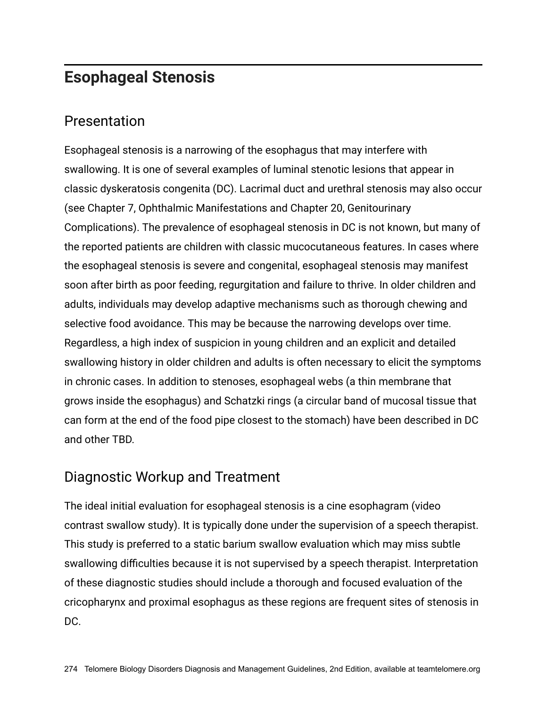# **Esophageal Stenosis**

#### Presentation

Esophageal stenosis is a narrowing of the esophagus that may interfere with swallowing. It is one of several examples of luminal stenotic lesions that appear in classic dyskeratosis congenita (DC). Lacrimal duct and urethral stenosis may also occur (see Chapter 7, Ophthalmic Manifestations and Chapter 20, Genitourinary Complications). The prevalence of esophageal stenosis in DC is not known, but many of the reported patients are children with classic mucocutaneous features. In cases where the esophageal stenosis is severe and congenital, esophageal stenosis may manifest soon after birth as poor feeding, regurgitation and failure to thrive. In older children and adults, individuals may develop adaptive mechanisms such as thorough chewing and selective food avoidance. This may be because the narrowing develops over time. Regardless, a high index of suspicion in young children and an explicit and detailed swallowing history in older children and adults is often necessary to elicit the symptoms in chronic cases. In addition to stenoses, esophageal webs (a thin membrane that grows inside the esophagus) and Schatzki rings (a circular band of mucosal tissue that can form at the end of the food pipe closest to the stomach) have been described in DC and other TBD.

#### Diagnostic Workup and Treatment

The ideal initial evaluation for esophageal stenosis is a cine esophagram (video contrast swallow study). It is typically done under the supervision of a speech therapist. This study is preferred to a static barium swallow evaluation which may miss subtle swallowing difficulties because it is not supervised by a speech therapist. Interpretation of these diagnostic studies should include a thorough and focused evaluation of the cricopharynx and proximal esophagus as these regions are frequent sites of stenosis in DC.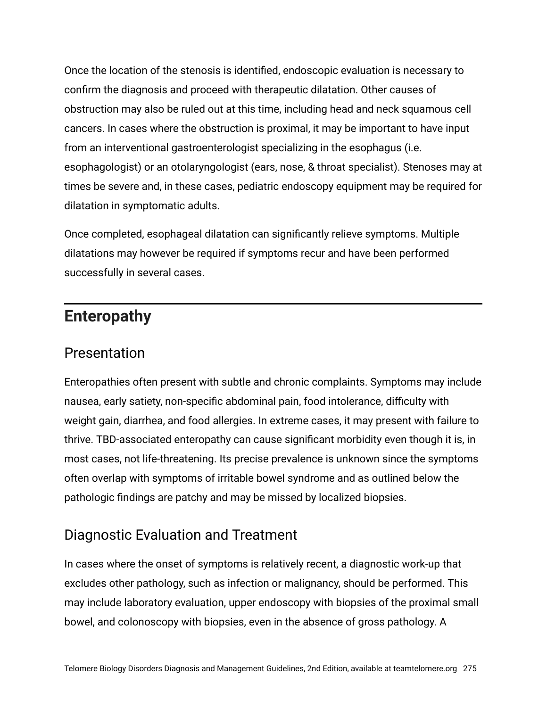Once the location of the stenosis is identified, endoscopic evaluation is necessary to confirm the diagnosis and proceed with therapeutic dilatation. Other causes of obstruction may also be ruled out at this time, including head and neck squamous cell cancers. In cases where the obstruction is proximal, it may be important to have input from an interventional gastroenterologist specializing in the esophagus (i.e. esophagologist) or an otolaryngologist (ears, nose, & throat specialist). Stenoses may at times be severe and, in these cases, pediatric endoscopy equipment may be required for dilatation in symptomatic adults.

Once completed, esophageal dilatation can significantly relieve symptoms. Multiple dilatations may however be required if symptoms recur and have been performed successfully in several cases.

# **Enteropathy**

#### Presentation

Enteropathies often present with subtle and chronic complaints. Symptoms may include nausea, early satiety, non-specific abdominal pain, food intolerance, difficulty with weight gain, diarrhea, and food allergies. In extreme cases, it may present with failure to thrive. TBD-associated enteropathy can cause significant morbidity even though it is, in most cases, not life-threatening. Its precise prevalence is unknown since the symptoms often overlap with symptoms of irritable bowel syndrome and as outlined below the pathologic findings are patchy and may be missed by localized biopsies.

#### Diagnostic Evaluation and Treatment

In cases where the onset of symptoms is relatively recent, a diagnostic work-up that excludes other pathology, such as infection or malignancy, should be performed. This may include laboratory evaluation, upper endoscopy with biopsies of the proximal small bowel, and colonoscopy with biopsies, even in the absence of gross pathology. A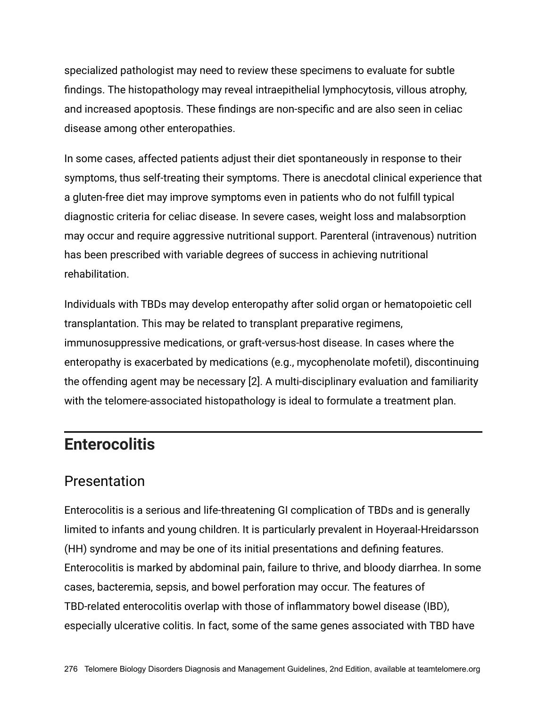specialized pathologist may need to review these specimens to evaluate for subtle findings. The histopathology may reveal intraepithelial lymphocytosis, villous atrophy, and increased apoptosis. These findings are non-specific and are also seen in celiac disease among other enteropathies.

In some cases, affected patients adjust their diet spontaneously in response to their symptoms, thus self-treating their symptoms. There is anecdotal clinical experience that a gluten-free diet may improve symptoms even in patients who do not fulfill typical diagnostic criteria for celiac disease. In severe cases, weight loss and malabsorption may occur and require aggressive nutritional support. Parenteral (intravenous) nutrition has been prescribed with variable degrees of success in achieving nutritional rehabilitation.

Individuals with TBDs may develop enteropathy after solid organ or hematopoietic cell transplantation. This may be related to transplant preparative regimens, immunosuppressive medications, or graft-versus-host disease. In cases where the enteropathy is exacerbated by medications (e.g., mycophenolate mofetil), discontinuing the offending agent may be necessary [2]. A multi-disciplinary evaluation and familiarity with the telomere-associated histopathology is ideal to formulate a treatment plan.

### **Enterocolitis**

#### Presentation

Enterocolitis is a serious and life-threatening GI complication of TBDs and is generally limited to infants and young children. It is particularly prevalent in Hoyeraal-Hreidarsson (HH) syndrome and may be one of its initial presentations and defining features. Enterocolitis is marked by abdominal pain, failure to thrive, and bloody diarrhea. In some cases, bacteremia, sepsis, and bowel perforation may occur. The features of TBD-related enterocolitis overlap with those of inflammatory bowel disease (IBD), especially ulcerative colitis. In fact, some of the same genes associated with TBD have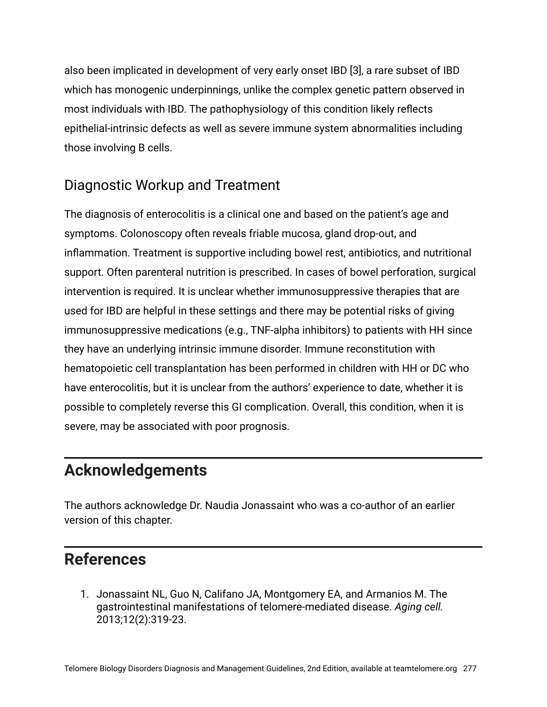also been implicated in development of very early onset IBD [3], a rare subset of IBD which has monogenic underpinnings, unlike the complex genetic pattern observed in most individuals with IBD. The pathophysiology of this condition likely reflects epithelial-intrinsic defects as well as severe immune system abnormalities including those involving B cells.

#### Diagnostic Workup and Treatment

The diagnosis of enterocolitis is a clinical one and based on the patient's age and symptoms. Colonoscopy often reveals friable mucosa, gland drop-out, and inflammation. Treatment is supportive including bowel rest, antibiotics, and nutritional support. Often parenteral nutrition is prescribed. In cases of bowel perforation, surgical intervention is required. It is unclear whether immunosuppressive therapies that are used for IBD are helpful in these settings and there may be potential risks of giving immunosuppressive medications (e.g., TNF-alpha inhibitors) to patients with HH since they have an underlying intrinsic immune disorder. Immune reconstitution with hematopoietic cell transplantation has been performed in children with HH or DC who have enterocolitis, but it is unclear from the authors' experience to date, whether it is possible to completely reverse this GI complication. Overall, this condition, when it is severe, may be associated with poor prognosis.

# **Acknowledgements**

The authors acknowledge Dr. Naudia Jonassaint who was a co-author of an earlier version of this chapter.

# **References**

1. Jonassaint NL, Guo N, Califano JA, Montgomery EA, and Armanios M. The gastrointestinal manifestations of telomere-mediated disease. *Aging cell.* 2013;12(2):319-23.